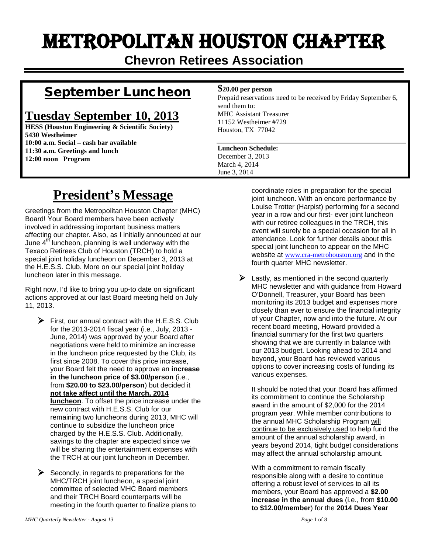# Metropolitan Houston Chapter

**Chevron Retirees Association**

### September Luncheon

### **Tuesday September 10, 2013**

**HESS (Houston Engineering & Scientific Society) 5430 Westheimer 10:00 a.m. Social – cash bar available 11:30 a.m. Greetings and lunch 12:00 noon Program**

#### **\$20.00 per person**

Prepaid reservations need to be received by Friday September 6, send them to: MHC Assistant Treasurer 11152 Westheimer #729 Houston, TX 77042

#### **Luncheon Schedule:** December 3, 2013 March 4, 2014 June 3, 2014

## **President's Message**

Greetings from the Metropolitan Houston Chapter (MHC) Board! Your Board members have been actively involved in addressing important business matters affecting our chapter. Also, as I initially announced at our June  $4^{th}$  luncheon, planning is well underway with the Texaco Retirees Club of Houston (TRCH) to hold a special joint holiday luncheon on December 3, 2013 at the H.E.S.S. Club. More on our special joint holiday luncheon later in this message.

Right now, I'd like to bring you up-to date on significant actions approved at our last Board meeting held on July 11, 2013.

 $\triangleright$  First, our annual contract with the H.E.S.S. Club for the 2013-2014 fiscal year (i.e., July, 2013 - June, 2014) was approved by your Board after negotiations were held to minimize an increase in the luncheon price requested by the Club, its first since 2008. To cover this price increase, your Board felt the need to approve an **increase in the luncheon price of \$3.00/person** (i.e., from **\$20.00 to \$23.00/person**) but decided it **not take affect until the March, 2014 luncheon**. To offset the price increase under the new contract with H.E.S.S. Club for our remaining two luncheons during 2013, MHC will continue to subsidize the luncheon price charged by the H.E.S.S. Club. Additionally, savings to the chapter are expected since we will be sharing the entertainment expenses with the TRCH at our joint luncheon in December.

 Secondly, in regards to preparations for the MHC/TRCH joint luncheon, a special joint committee of selected MHC Board members and their TRCH Board counterparts will be meeting in the fourth quarter to finalize plans to coordinate roles in preparation for the special joint luncheon. With an encore performance by Louise Trotter (Harpist) performing for a second year in a row and our first- ever joint luncheon with our retiree colleagues in the TRCH, this event will surely be a special occasion for all in attendance. Look for further details about this special joint luncheon to appear on the MHC website at [www.cra-metrohouston.org](http://www.cra-metrohouston.org/) and in the fourth quarter MHC newsletter.

 $\triangleright$  Lastly, as mentioned in the second quarterly MHC newsletter and with guidance from Howard O'Donnell, Treasurer, your Board has been monitoring its 2013 budget and expenses more closely than ever to ensure the financial integrity of your Chapter, now and into the future. At our recent board meeting, Howard provided a financial summary for the first two quarters showing that we are currently in balance with our 2013 budget. Looking ahead to 2014 and beyond, your Board has reviewed various options to cover increasing costs of funding its various expenses.

It should be noted that your Board has affirmed its commitment to continue the Scholarship award in the amount of \$2,000 for the 2014 program year. While member contributions to the annual MHC Scholarship Program will continue to be exclusively used to help fund the amount of the annual scholarship award, in years beyond 2014, tight budget considerations may affect the annual scholarship amount.

With a commitment to remain fiscally responsible along with a desire to continue offering a robust level of services to all its members, your Board has approved a **\$2.00 increase in the annual dues** (i.e., from **\$10.00 to \$12.00/member**) for the **2014 Dues Year**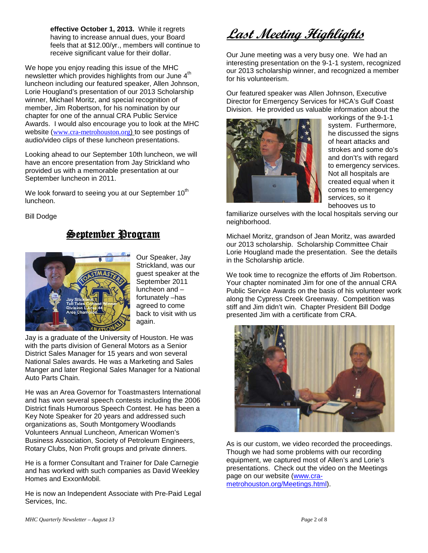**effective October 1, 2013.** While it regrets having to increase annual dues, your Board feels that at \$12.00/yr., members will continue to receive significant value for their dollar.

We hope you enjoy reading this issue of the MHC newsletter which provides highlights from our June  $4<sup>th</sup>$ luncheon including our featured speaker, Allen Johnson, Lorie Hougland's presentation of our 2013 Scholarship winner, Michael Moritz, and special recognition of member, Jim Robertson, for his nomination by our chapter for one of the annual CRA Public Service Awards. I would also encourage you to look at the MHC website ([www.cra-metrohouston.org](http://www.cra-metrohouston.org/)) to see postings of audio/video clips of these luncheon presentations.

Looking ahead to our September 10th luncheon, we will have an encore presentation from Jay Strickland who provided us with a memorable presentation at our September luncheon in 2011.

We look forward to seeing you at our September  $10<sup>th</sup>$ luncheon.

Bill Dodge

### September Program



Our Speaker, Jay Strickland, was our guest speaker at the September 2011 luncheon and – fortunately –has agreed to come back to visit with us again.

Jay is a graduate of the University of Houston. He was with the parts division of General Motors as a Senior District Sales Manager for 15 years and won several National Sales awards. He was a Marketing and Sales Manger and later Regional Sales Manager for a National Auto Parts Chain.

He was an Area Governor for Toastmasters International and has won several speech contests including the 2006 District finals Humorous Speech Contest. He has been a Key Note Speaker for 20 years and addressed such organizations as, South Montgomery Woodlands Volunteers Annual Luncheon, American Women's Business Association, Society of Petroleum Engineers, Rotary Clubs, Non Profit groups and private dinners.

He is a former Consultant and Trainer for Dale Carnegie and has worked with such companies as David Weekley Homes and ExxonMobil.

He is now an Independent Associate with Pre-Paid Legal Services, Inc.

**Last Meeting Highlights**

Our June meeting was a very busy one. We had an interesting presentation on the 9-1-1 system, recognized our 2013 scholarship winner, and recognized a member for his volunteerism.

Our featured speaker was Allen Johnson, Executive Director for Emergency Services for HCA's Gulf Coast Division. He provided us valuable information about the



workings of the 9-1-1 system. Furthermore, he discussed the signs of heart attacks and strokes and some do's and don't's with regard to emergency services. Not all hospitals are created equal when it comes to emergency services, so it behooves us to

familiarize ourselves with the local hospitals serving our neighborhood.

Michael Moritz, grandson of Jean Moritz, was awarded our 2013 scholarship. Scholarship Committee Chair Lorie Hougland made the presentation. See the details in the Scholarship article.

We took time to recognize the efforts of Jim Robertson. Your chapter nominated Jim for one of the annual CRA Public Service Awards on the basis of his volunteer work along the Cypress Creek Greenway. Competition was stiff and Jim didn't win. Chapter President Bill Dodge presented Jim with a certificate from CRA.



As is our custom, we video recorded the proceedings. Though we had some problems with our recording equipment, we captured most of Allen's and Lorie's presentations. Check out the video on the Meetings page on our website [\(www.cra](http://www.cra-metrohouston.org/Meetings.html)[metrohouston.org/Meetings.html\)](http://www.cra-metrohouston.org/Meetings.html).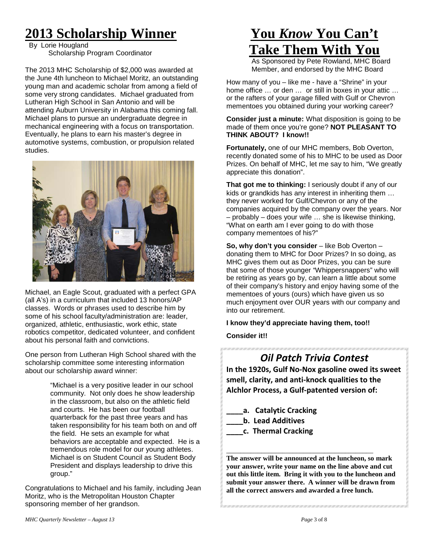## **2013 Scholarship Winner**

 By Lorie Hougland Scholarship Program Coordinator

The 2013 MHC Scholarship of \$2,000 was awarded at the June 4th luncheon to Michael Moritz, an outstanding young man and academic scholar from among a field of some very strong candidates. Michael graduated from Lutheran High School in San Antonio and will be attending Auburn University in Alabama this coming fall. Michael plans to pursue an undergraduate degree in mechanical engineering with a focus on transportation. Eventually, he plans to earn his master's degree in automotive systems, combustion, or propulsion related studies.



Michael, an Eagle Scout, graduated with a perfect GPA (all A's) in a curriculum that included 13 honors/AP classes. Words or phrases used to describe him by some of his school faculty/administration are: leader, organized, athletic, enthusiastic, work ethic, state robotics competitor, dedicated volunteer, and confident about his personal faith and convictions.

One person from Lutheran High School shared with the scholarship committee some interesting information about our scholarship award winner:

> "Michael is a very positive leader in our school community. Not only does he show leadership in the classroom, but also on the athletic field and courts. He has been our football quarterback for the past three years and has taken responsibility for his team both on and off the field. He sets an example for what behaviors are acceptable and expected. He is a tremendous role model for our young athletes. Michael is on Student Council as Student Body President and displays leadership to drive this group."

Congratulations to Michael and his family, including Jean Moritz, who is the Metropolitan Houston Chapter sponsoring member of her grandson.

## **You** *Know* **You Can't Take Them With You**

As Sponsored by Pete Rowland, MHC Board Member, and endorsed by the MHC Board

How many of you – like me - have a "Shrine" in your home office … or den … or still in boxes in your attic … or the rafters of your garage filled with Gulf or Chevron mementoes you obtained during your working career?

#### **Consider just a minute:** What disposition is going to be made of them once you're gone? **NOT PLEASANT TO THINK ABOUT? I know!!**

**Fortunately,** one of our MHC members, Bob Overton, recently donated some of his to MHC to be used as Door Prizes. On behalf of MHC, let me say to him, "We greatly appreciate this donation".

**That got me to thinking:** I seriously doubt if any of our kids or grandkids has any interest in inheriting them … they never worked for Gulf/Chevron or any of the companies acquired by the company over the years. Nor – probably – does your wife … she is likewise thinking, "What on earth am I ever going to do with those company mementoes of his?"

**So, why don't you consider** – like Bob Overton – donating them to MHC for Door Prizes? In so doing, as MHC gives them out as Door Prizes, you can be sure that some of those younger "Whippersnappers" who will be retiring as years go by, can learn a little about some of their company's history and enjoy having some of the mementoes of yours (ours) which have given us so much enjoyment over OUR years with our company and into our retirement.

**I know they'd appreciate having them, too!!**

**Consider it!!**

### *Oil Patch Trivia Contest*

**In the 1920s, Gulf No-Nox gasoline owed its sweet smell, clarity, and anti-knock qualities to the Alchlor Process, a Gulf-patented version of:**

- **\_\_\_\_a. Catalytic Cracking**
- **\_\_\_\_b. Lead Additives**
- **\_\_\_\_c. Thermal Cracking**

**The answer will be announced at the luncheon, so mark your answer, write your name on the line above and cut out this little item. Bring it with you to the luncheon and submit your answer there. A winner will be drawn from all the correct answers and awarded a free lunch.** 

\_\_\_\_\_\_\_\_\_\_\_\_\_\_\_\_\_\_\_\_\_\_\_\_\_\_\_\_\_\_\_\_\_\_\_\_\_\_\_\_\_\_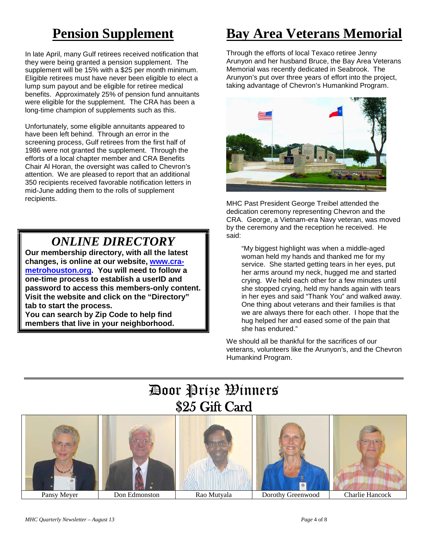## **Pension Supplement**

In late April, many Gulf retirees received notification that they were being granted a pension supplement. The supplement will be 15% with a \$25 per month minimum. Eligible retirees must have never been eligible to elect a lump sum payout and be eligible for retiree medical benefits. Approximately 25% of pension fund annuitants were eligible for the supplement. The CRA has been a long-time champion of supplements such as this.

Unfortunately, some eligible annuitants appeared to have been left behind. Through an error in the screening process, Gulf retirees from the first half of 1986 were not granted the supplement. Through the efforts of a local chapter member and CRA Benefits Chair Al Horan, the oversight was called to Chevron's attention. We are pleased to report that an additional 350 recipients received favorable notification letters in mid-June adding them to the rolls of supplement recipients.

### *ONLINE DIRECTORY*

**Our membership directory, with all the latest changes, is online at our website, [www.cra](http://www.cra-metrohouston.org/)[metrohouston.org.](http://www.cra-metrohouston.org/) You will need to follow a one-time process to establish a userID and password to access this members-only content. Visit the website and click on the "Directory" tab to start the process.** 

**You can search by Zip Code to help find members that live in your neighborhood.** 

## **Bay Area Veterans Memorial**

Through the efforts of local Texaco retiree Jenny Arunyon and her husband Bruce, the Bay Area Veterans Memorial was recently dedicated in Seabrook. The Arunyon's put over three years of effort into the project, taking advantage of Chevron's Humankind Program.



MHC Past President George Treibel attended the dedication ceremony representing Chevron and the CRA. George, a Vietnam-era Navy veteran, was moved by the ceremony and the reception he received. He said:

"My biggest highlight was when a middle-aged woman held my hands and thanked me for my service. She started getting tears in her eyes, put her arms around my neck, hugged me and started crying. We held each other for a few minutes until she stopped crying, held my hands again with tears in her eyes and said "Thank You" and walked away. One thing about veterans and their families is that we are always there for each other. I hope that the hug helped her and eased some of the pain that she has endured."

We should all be thankful for the sacrifices of our veterans, volunteers like the Arunyon's, and the Chevron Humankind Program.

## Door Prize Winners \$25 Gift Card

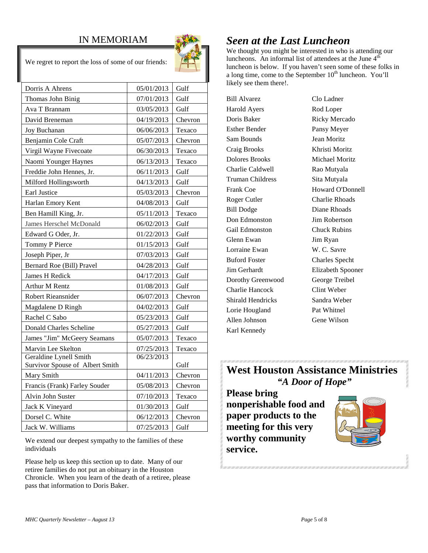### IN MEMORIAM



We regret to report the loss of some of our friends:

| Dorris A Ahrens                 | 05/01/2013 | Gulf    |
|---------------------------------|------------|---------|
| Thomas John Binig               | 07/01/2013 | Gulf    |
| Ava T Brannam                   | 03/05/2013 | Gulf    |
| David Breneman                  | 04/19/2013 | Chevron |
| Joy Buchanan                    | 06/06/2013 | Texaco  |
| Benjamin Cole Craft             | 05/07/2013 | Chevron |
| Virgil Wayne Fivecoate          | 06/30/2013 | Texaco  |
| Naomi Younger Haynes            | 06/13/2013 | Texaco  |
| Freddie John Hennes, Jr.        | 06/11/2013 | Gulf    |
| Milford Hollingsworth           | 04/13/2013 | Gulf    |
| <b>Earl Justice</b>             | 05/03/2013 | Chevron |
| Harlan Emory Kent               | 04/08/2013 | Gulf    |
| Ben Hamill King, Jr.            | 05/11/2013 | Texaco  |
| James Herschel McDonald         | 06/02/2013 | Gulf    |
| Edward G Oder, Jr.              | 01/22/2013 | Gulf    |
| Tommy P Pierce                  | 01/15/2013 | Gulf    |
| Joseph Piper, Jr                | 07/03/2013 | Gulf    |
| Bernard Roe (Bill) Pravel       | 04/28/2013 | Gulf    |
| James H Redick                  | 04/17/2013 | Gulf    |
| <b>Arthur M Rentz</b>           | 01/08/2013 | Gulf    |
| Robert Rieansnider              | 06/07/2013 | Chevron |
| Magdalene D Ringh               | 04/02/2013 | Gulf    |
| Rachel C Sabo                   | 05/23/2013 | Gulf    |
| <b>Donald Charles Scheline</b>  | 05/27/2013 | Gulf    |
| James "Jim" McGeery Seamans     | 05/07/2013 | Texaco  |
| Marvin Lee Skelton              | 07/25/2013 | Texaco  |
| Geraldine Lynell Smith          | 06/23/2013 |         |
| Survivor Spouse of Albert Smith |            | Gulf    |
| Mary Smith                      | 04/11/2013 | Chevron |
| Francis (Frank) Farley Souder   | 05/08/2013 | Chevron |
| Alvin John Suster               | 07/10/2013 | Texaco  |
| Jack K Vineyard                 | 01/30/2013 | Gulf    |
| Dorsel C. White                 | 06/12/2013 | Chevron |
| Jack W. Williams                | 07/25/2013 | Gulf    |

We extend our deepest sympathy to the families of these individuals

Please help us keep this section up to date. Many of our retiree families do not put an obituary in the Houston Chronicle. When you learn of the death of a retiree, please pass that information to Doris Baker.

### *Seen at the Last Luncheon*

We thought you might be interested in who is attending our luncheons. An informal list of attendees at the June  $4<sup>th</sup>$ luncheon is below. If you haven't seen some of these folks in a long time, come to the September  $10<sup>th</sup>$  luncheon. You'll likely see them there!.

Bill Alvarez Clo Ladner Harold Ayers Rod Loper Doris Baker Ricky Mercado Esther Bender Pansy Meyer Sam Bounds Jean Moritz Craig Brooks Khristi Moritz Dolores Brooks Michael Moritz Charlie Caldwell Rao Mutyala Truman Childress Sita Mutyala Frank Coe **Howard O'Donnell** Roger Cutler Charlie Rhoads Bill Dodge Diane Rhoads Don Edmonston Jim Robertson Gail Edmonston Chuck Rubins Glenn Ewan Jim Ryan Lorraine Ewan W. C. Savre Buford Foster Charles Specht Jim Gerhardt Elizabeth Spooner Dorothy Greenwood George Treibel Charlie Hancock Clint Weber Shirald Hendricks Sandra Weber Lorie Hougland Pat Whitnel Allen Johnson Gene Wilson Karl Kennedy

### **West Houston Assistance Ministries** *"A Door of Hope"*

**Please bring nonperishable food and paper products to the meeting for this very worthy community service.**